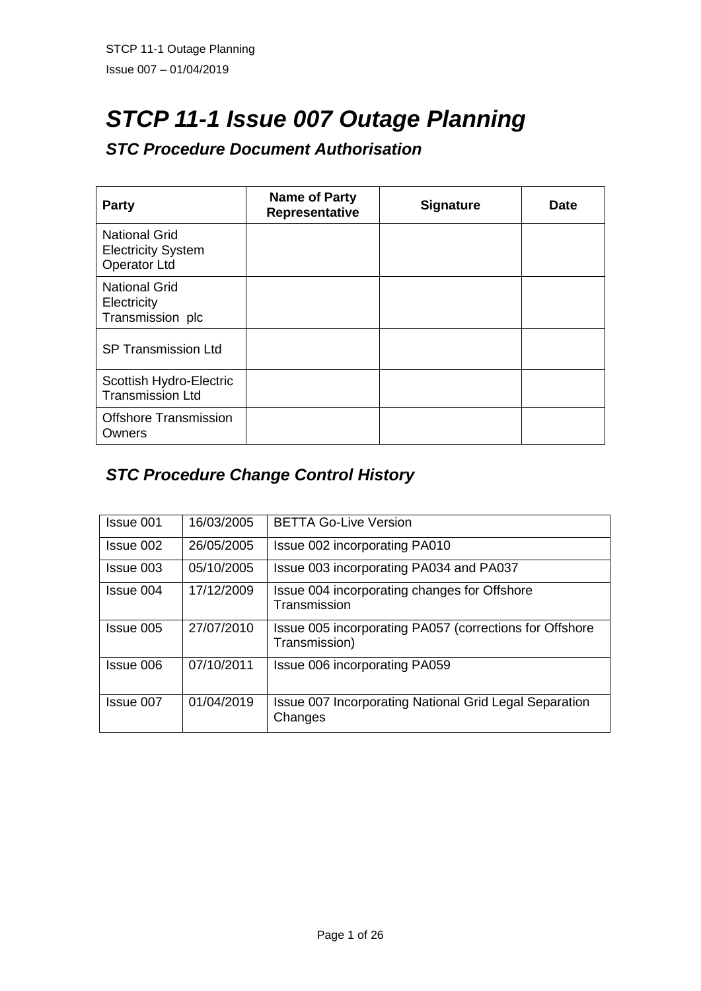# *STCP 11-1 Issue 007 Outage Planning*

# *STC Procedure Document Authorisation*

| <b>Party</b>                                                             | Name of Party<br>Representative | <b>Signature</b> | Date |
|--------------------------------------------------------------------------|---------------------------------|------------------|------|
| <b>National Grid</b><br><b>Electricity System</b><br><b>Operator Ltd</b> |                                 |                  |      |
| <b>National Grid</b><br>Electricity<br>Transmission plc                  |                                 |                  |      |
| <b>SP Transmission Ltd</b>                                               |                                 |                  |      |
| Scottish Hydro-Electric<br><b>Transmission Ltd</b>                       |                                 |                  |      |
| <b>Offshore Transmission</b><br>Owners                                   |                                 |                  |      |

# *STC Procedure Change Control History*

| Issue 001 | 16/03/2005 | <b>BETTA Go-Live Version</b>                                             |
|-----------|------------|--------------------------------------------------------------------------|
| Issue 002 | 26/05/2005 | Issue 002 incorporating PA010                                            |
| Issue 003 | 05/10/2005 | Issue 003 incorporating PA034 and PA037                                  |
| Issue 004 | 17/12/2009 | Issue 004 incorporating changes for Offshore<br>Transmission             |
| Issue 005 | 27/07/2010 | Issue 005 incorporating PA057 (corrections for Offshore<br>Transmission) |
| Issue 006 | 07/10/2011 | Issue 006 incorporating PA059                                            |
| Issue 007 | 01/04/2019 | <b>Issue 007 Incorporating National Grid Legal Separation</b><br>Changes |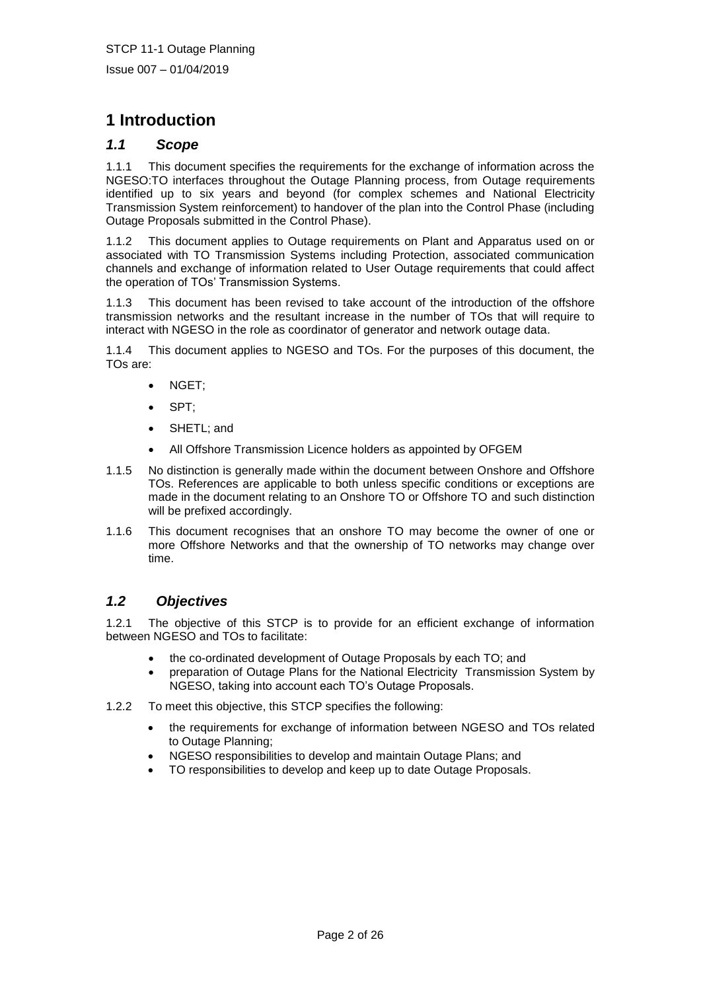# **1 Introduction**

### *1.1 Scope*

1.1.1 This document specifies the requirements for the exchange of information across the NGESO:TO interfaces throughout the Outage Planning process, from Outage requirements identified up to six years and beyond (for complex schemes and National Electricity Transmission System reinforcement) to handover of the plan into the Control Phase (including Outage Proposals submitted in the Control Phase).

1.1.2 This document applies to Outage requirements on Plant and Apparatus used on or associated with TO Transmission Systems including Protection, associated communication channels and exchange of information related to User Outage requirements that could affect the operation of TOs' Transmission Systems.

1.1.3 This document has been revised to take account of the introduction of the offshore transmission networks and the resultant increase in the number of TOs that will require to interact with NGESO in the role as coordinator of generator and network outage data.

1.1.4 This document applies to NGESO and TOs. For the purposes of this document, the TOs are:

- NGET;
- SPT;
- SHETL; and
- All Offshore Transmission Licence holders as appointed by OFGEM
- 1.1.5 No distinction is generally made within the document between Onshore and Offshore TOs. References are applicable to both unless specific conditions or exceptions are made in the document relating to an Onshore TO or Offshore TO and such distinction will be prefixed accordingly.
- 1.1.6 This document recognises that an onshore TO may become the owner of one or more Offshore Networks and that the ownership of TO networks may change over time.

# *1.2 Objectives*

1.2.1 The objective of this STCP is to provide for an efficient exchange of information between NGESO and TOs to facilitate:

- the co-ordinated development of Outage Proposals by each TO; and
- preparation of Outage Plans for the National Electricity Transmission System by NGESO, taking into account each TO's Outage Proposals.
- 1.2.2 To meet this objective, this STCP specifies the following:
	- the requirements for exchange of information between NGESO and TOs related to Outage Planning;
	- NGESO responsibilities to develop and maintain Outage Plans; and
	- TO responsibilities to develop and keep up to date Outage Proposals.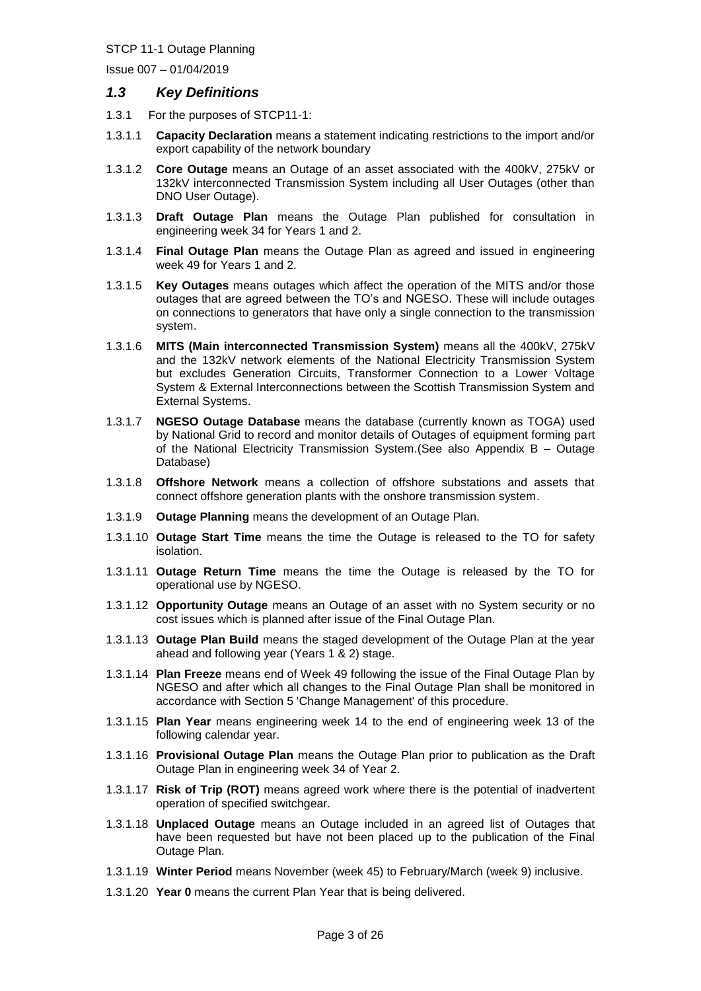Issue 007 – 01/04/2019

#### *1.3 Key Definitions*

- 1.3.1 For the purposes of STCP11-1:
- 1.3.1.1 **Capacity Declaration** means a statement indicating restrictions to the import and/or export capability of the network boundary
- 1.3.1.2 **Core Outage** means an Outage of an asset associated with the 400kV, 275kV or 132kV interconnected Transmission System including all User Outages (other than DNO User Outage).
- 1.3.1.3 **Draft Outage Plan** means the Outage Plan published for consultation in engineering week 34 for Years 1 and 2.
- 1.3.1.4 **Final Outage Plan** means the Outage Plan as agreed and issued in engineering week 49 for Years 1 and 2.
- 1.3.1.5 **Key Outages** means outages which affect the operation of the MITS and/or those outages that are agreed between the TO's and NGESO. These will include outages on connections to generators that have only a single connection to the transmission system.
- 1.3.1.6 **MITS (Main interconnected Transmission System)** means all the 400kV, 275kV and the 132kV network elements of the National Electricity Transmission System but excludes Generation Circuits, Transformer Connection to a Lower Voltage System & External Interconnections between the Scottish Transmission System and External Systems.
- 1.3.1.7 **NGESO Outage Database** means the database (currently known as TOGA) used by National Grid to record and monitor details of Outages of equipment forming part of the National Electricity Transmission System.(See also Appendix B – Outage Database)
- 1.3.1.8 **Offshore Network** means a collection of offshore substations and assets that connect offshore generation plants with the onshore transmission system.
- 1.3.1.9 **Outage Planning** means the development of an Outage Plan.
- 1.3.1.10 **Outage Start Time** means the time the Outage is released to the TO for safety isolation.
- 1.3.1.11 **Outage Return Time** means the time the Outage is released by the TO for operational use by NGESO.
- 1.3.1.12 **Opportunity Outage** means an Outage of an asset with no System security or no cost issues which is planned after issue of the Final Outage Plan.
- 1.3.1.13 **Outage Plan Build** means the staged development of the Outage Plan at the year ahead and following year (Years 1 & 2) stage.
- 1.3.1.14 **Plan Freeze** means end of Week 49 following the issue of the Final Outage Plan by NGESO and after which all changes to the Final Outage Plan shall be monitored in accordance with Section 5 'Change Management' of this procedure.
- 1.3.1.15 **Plan Year** means engineering week 14 to the end of engineering week 13 of the following calendar year.
- 1.3.1.16 **Provisional Outage Plan** means the Outage Plan prior to publication as the Draft Outage Plan in engineering week 34 of Year 2.
- 1.3.1.17 **Risk of Trip (ROT)** means agreed work where there is the potential of inadvertent operation of specified switchgear.
- 1.3.1.18 **Unplaced Outage** means an Outage included in an agreed list of Outages that have been requested but have not been placed up to the publication of the Final Outage Plan.
- 1.3.1.19 **Winter Period** means November (week 45) to February/March (week 9) inclusive.
- 1.3.1.20 **Year 0** means the current Plan Year that is being delivered.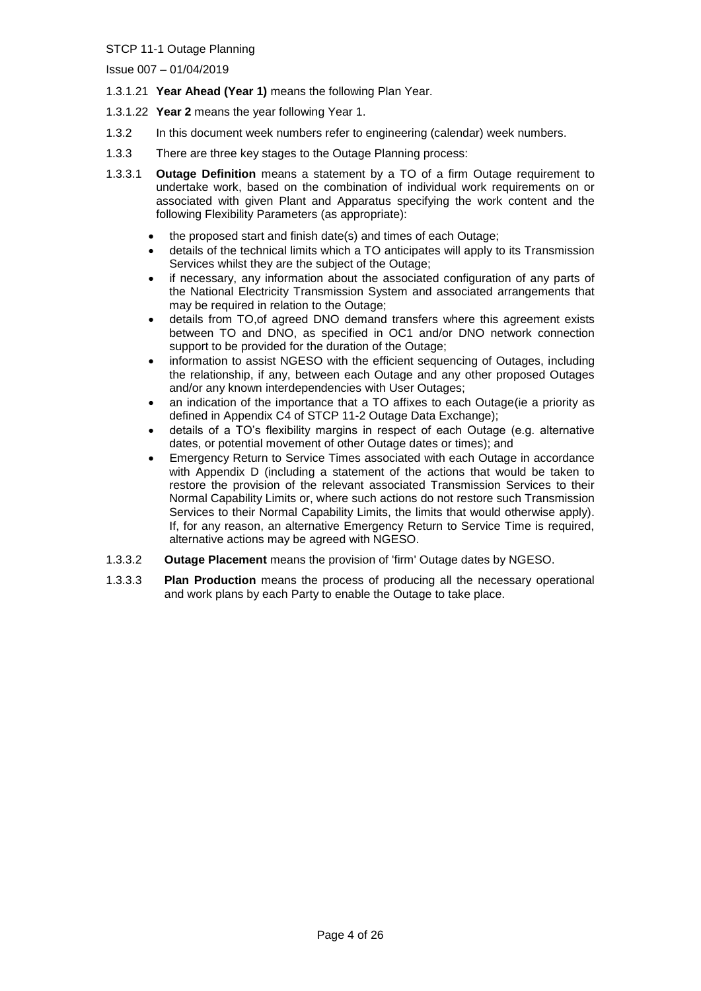Issue 007 – 01/04/2019

- 1.3.1.21 **Year Ahead (Year 1)** means the following Plan Year.
- 1.3.1.22 **Year 2** means the year following Year 1.
- 1.3.2 In this document week numbers refer to engineering (calendar) week numbers.
- 1.3.3 There are three key stages to the Outage Planning process:
- 1.3.3.1 **Outage Definition** means a statement by a TO of a firm Outage requirement to undertake work, based on the combination of individual work requirements on or associated with given Plant and Apparatus specifying the work content and the following Flexibility Parameters (as appropriate):
	- the proposed start and finish date(s) and times of each Outage;
	- details of the technical limits which a TO anticipates will apply to its Transmission Services whilst they are the subject of the Outage;
	- if necessary, any information about the associated configuration of any parts of the National Electricity Transmission System and associated arrangements that may be required in relation to the Outage;
	- details from TO,of agreed DNO demand transfers where this agreement exists between TO and DNO, as specified in OC1 and/or DNO network connection support to be provided for the duration of the Outage;
	- information to assist NGESO with the efficient sequencing of Outages, including the relationship, if any, between each Outage and any other proposed Outages and/or any known interdependencies with User Outages;
	- an indication of the importance that a TO affixes to each Outage(ie a priority as defined in Appendix C4 of STCP 11-2 Outage Data Exchange);
	- details of a TO's flexibility margins in respect of each Outage (e.g. alternative dates, or potential movement of other Outage dates or times); and
	- Emergency Return to Service Times associated with each Outage in accordance with Appendix D (including a statement of the actions that would be taken to restore the provision of the relevant associated Transmission Services to their Normal Capability Limits or, where such actions do not restore such Transmission Services to their Normal Capability Limits, the limits that would otherwise apply). If, for any reason, an alternative Emergency Return to Service Time is required, alternative actions may be agreed with NGESO.
- 1.3.3.2 **Outage Placement** means the provision of 'firm' Outage dates by NGESO.
- 1.3.3.3 **Plan Production** means the process of producing all the necessary operational and work plans by each Party to enable the Outage to take place.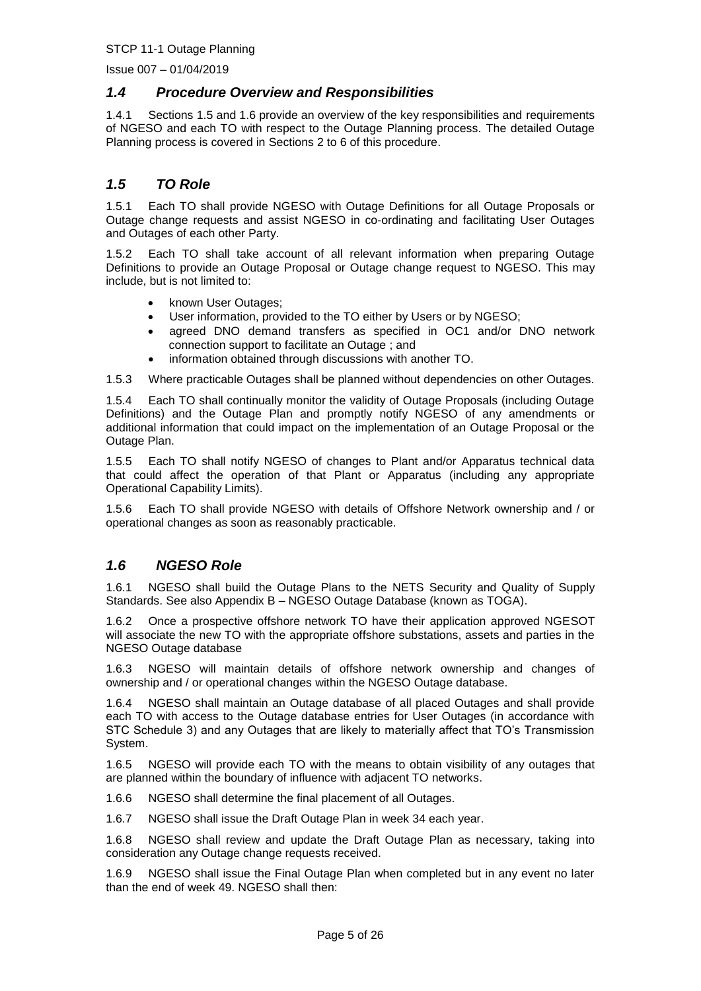Issue 007 – 01/04/2019

#### *1.4 Procedure Overview and Responsibilities*

1.4.1 Sections 1.5 and 1.6 provide an overview of the key responsibilities and requirements of NGESO and each TO with respect to the Outage Planning process*.* The detailed Outage Planning process is covered in Sections 2 to 6 of this procedure.

## *1.5 TO Role*

1.5.1 Each TO shall provide NGESO with Outage Definitions for all Outage Proposals or Outage change requests and assist NGESO in co-ordinating and facilitating User Outages and Outages of each other Party.

1.5.2 Each TO shall take account of all relevant information when preparing Outage Definitions to provide an Outage Proposal or Outage change request to NGESO. This may include, but is not limited to:

- known User Outages;
- User information, provided to the TO either by Users or by NGESO;
- agreed DNO demand transfers as specified in OC1 and/or DNO network connection support to facilitate an Outage ; and
- information obtained through discussions with another TO.

1.5.3 Where practicable Outages shall be planned without dependencies on other Outages.

1.5.4 Each TO shall continually monitor the validity of Outage Proposals (including Outage Definitions) and the Outage Plan and promptly notify NGESO of any amendments or additional information that could impact on the implementation of an Outage Proposal or the Outage Plan.

1.5.5 Each TO shall notify NGESO of changes to Plant and/or Apparatus technical data that could affect the operation of that Plant or Apparatus (including any appropriate Operational Capability Limits).

1.5.6 Each TO shall provide NGESO with details of Offshore Network ownership and / or operational changes as soon as reasonably practicable.

# *1.6 NGESO Role*

1.6.1 NGESO shall build the Outage Plans to the NETS Security and Quality of Supply Standards. See also Appendix B – NGESO Outage Database (known as TOGA).

1.6.2 Once a prospective offshore network TO have their application approved NGESOT will associate the new TO with the appropriate offshore substations, assets and parties in the NGESO Outage database

1.6.3 NGESO will maintain details of offshore network ownership and changes of ownership and / or operational changes within the NGESO Outage database.

1.6.4 NGESO shall maintain an Outage database of all placed Outages and shall provide each TO with access to the Outage database entries for User Outages (in accordance with STC Schedule 3) and any Outages that are likely to materially affect that TO's Transmission System.

1.6.5 NGESO will provide each TO with the means to obtain visibility of any outages that are planned within the boundary of influence with adjacent TO networks.

1.6.6 NGESO shall determine the final placement of all Outages.

1.6.7 NGESO shall issue the Draft Outage Plan in week 34 each year.

1.6.8 NGESO shall review and update the Draft Outage Plan as necessary, taking into consideration any Outage change requests received.

1.6.9 NGESO shall issue the Final Outage Plan when completed but in any event no later than the end of week 49. NGESO shall then: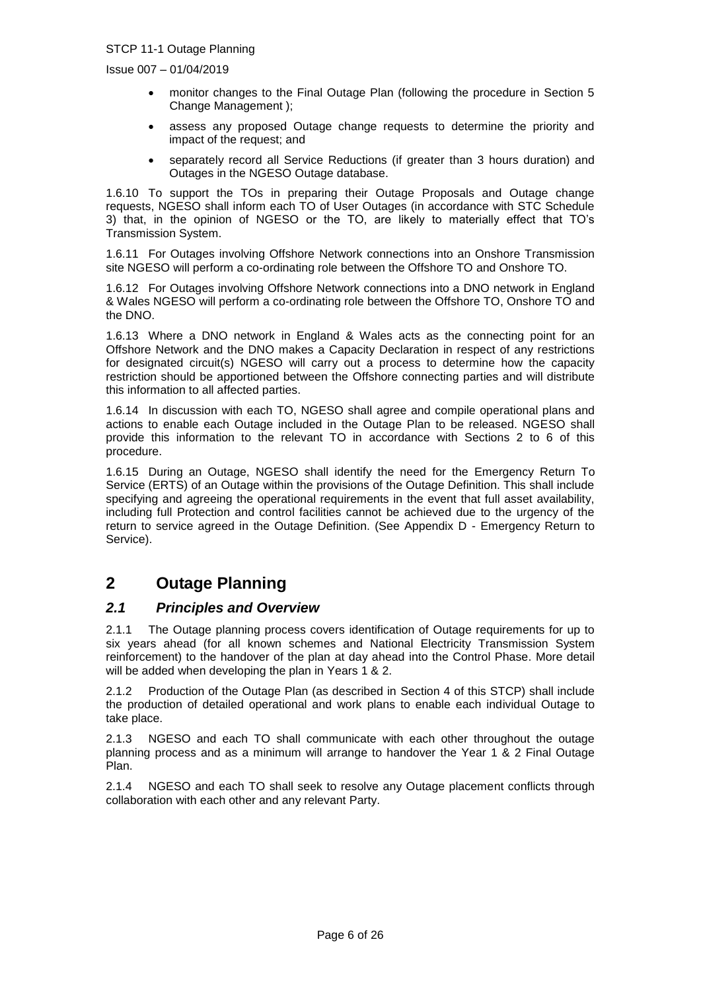Issue 007 – 01/04/2019

- monitor changes to the Final Outage Plan (following the procedure in Section 5 Change Management );
- assess any proposed Outage change requests to determine the priority and impact of the request; and
- separately record all Service Reductions (if greater than 3 hours duration) and Outages in the NGESO Outage database.

1.6.10 To support the TOs in preparing their Outage Proposals and Outage change requests, NGESO shall inform each TO of User Outages (in accordance with STC Schedule 3) that, in the opinion of NGESO or the TO, are likely to materially effect that TO's Transmission System.

1.6.11 For Outages involving Offshore Network connections into an Onshore Transmission site NGESO will perform a co-ordinating role between the Offshore TO and Onshore TO.

1.6.12 For Outages involving Offshore Network connections into a DNO network in England & Wales NGESO will perform a co-ordinating role between the Offshore TO, Onshore TO and the DNO.

1.6.13 Where a DNO network in England & Wales acts as the connecting point for an Offshore Network and the DNO makes a Capacity Declaration in respect of any restrictions for designated circuit(s) NGESO will carry out a process to determine how the capacity restriction should be apportioned between the Offshore connecting parties and will distribute this information to all affected parties.

1.6.14 In discussion with each TO, NGESO shall agree and compile operational plans and actions to enable each Outage included in the Outage Plan to be released. NGESO shall provide this information to the relevant TO in accordance with Sections 2 to 6 of this procedure.

1.6.15 During an Outage, NGESO shall identify the need for the Emergency Return To Service (ERTS) of an Outage within the provisions of the Outage Definition. This shall include specifying and agreeing the operational requirements in the event that full asset availability, including full Protection and control facilities cannot be achieved due to the urgency of the return to service agreed in the Outage Definition. (See Appendix D - Emergency Return to Service).

# **2 Outage Planning**

#### *2.1 Principles and Overview*

2.1.1 The Outage planning process covers identification of Outage requirements for up to six years ahead (for all known schemes and National Electricity Transmission System reinforcement) to the handover of the plan at day ahead into the Control Phase. More detail will be added when developing the plan in Years 1 & 2.

2.1.2 Production of the Outage Plan (as described in Section 4 of this STCP) shall include the production of detailed operational and work plans to enable each individual Outage to take place.

2.1.3 NGESO and each TO shall communicate with each other throughout the outage planning process and as a minimum will arrange to handover the Year 1 & 2 Final Outage Plan.

2.1.4 NGESO and each TO shall seek to resolve any Outage placement conflicts through collaboration with each other and any relevant Party.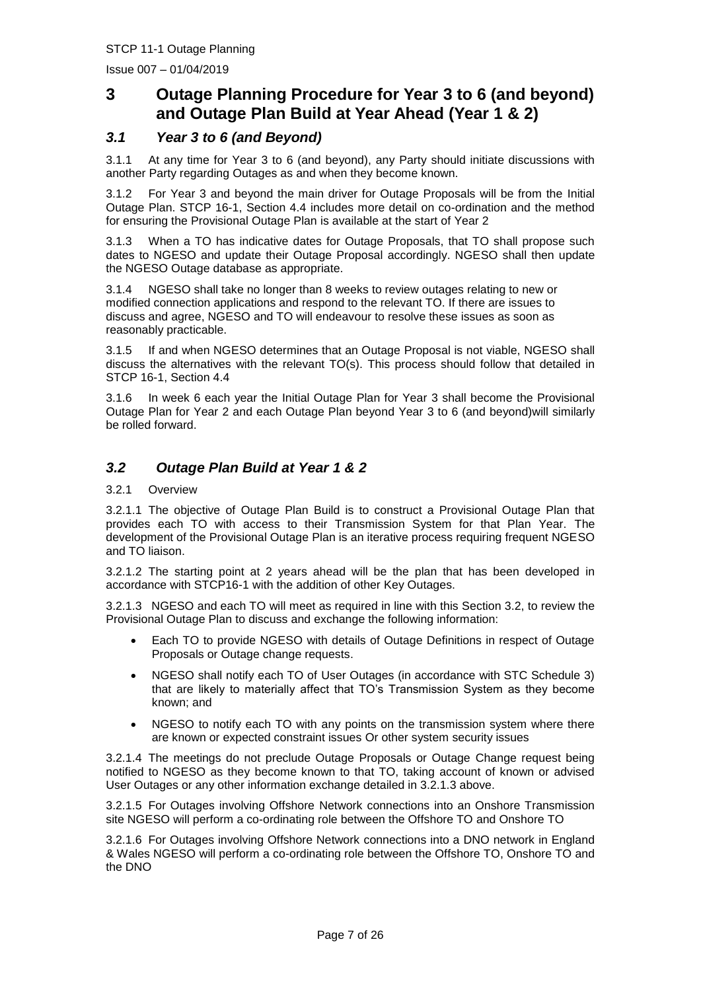Issue 007 – 01/04/2019

# **3 Outage Planning Procedure for Year 3 to 6 (and beyond) and Outage Plan Build at Year Ahead (Year 1 & 2)**

# *3.1 Year 3 to 6 (and Beyond)*

3.1.1 At any time for Year 3 to 6 (and beyond), any Party should initiate discussions with another Party regarding Outages as and when they become known.

3.1.2 For Year 3 and beyond the main driver for Outage Proposals will be from the Initial Outage Plan. STCP 16-1, Section 4.4 includes more detail on co-ordination and the method for ensuring the Provisional Outage Plan is available at the start of Year 2

3.1.3 When a TO has indicative dates for Outage Proposals, that TO shall propose such dates to NGESO and update their Outage Proposal accordingly. NGESO shall then update the NGESO Outage database as appropriate.

3.1.4 NGESO shall take no longer than 8 weeks to review outages relating to new or modified connection applications and respond to the relevant TO. If there are issues to discuss and agree, NGESO and TO will endeavour to resolve these issues as soon as reasonably practicable.

3.1.5 If and when NGESO determines that an Outage Proposal is not viable, NGESO shall discuss the alternatives with the relevant TO(s). This process should follow that detailed in STCP 16-1, Section 4.4

3.1.6 In week 6 each year the Initial Outage Plan for Year 3 shall become the Provisional Outage Plan for Year 2 and each Outage Plan beyond Year 3 to 6 (and beyond)will similarly be rolled forward.

# *3.2 Outage Plan Build at Year 1 & 2*

3.2.1 Overview

3.2.1.1 The objective of Outage Plan Build is to construct a Provisional Outage Plan that provides each TO with access to their Transmission System for that Plan Year. The development of the Provisional Outage Plan is an iterative process requiring frequent NGESO and TO liaison.

3.2.1.2 The starting point at 2 years ahead will be the plan that has been developed in accordance with STCP16-1 with the addition of other Key Outages.

3.2.1.3 NGESO and each TO will meet as required in line with this Section 3.2, to review the Provisional Outage Plan to discuss and exchange the following information:

- Each TO to provide NGESO with details of Outage Definitions in respect of Outage Proposals or Outage change requests.
- NGESO shall notify each TO of User Outages (in accordance with STC Schedule 3) that are likely to materially affect that TO's Transmission System as they become known; and
- NGESO to notify each TO with any points on the transmission system where there are known or expected constraint issues Or other system security issues

3.2.1.4 The meetings do not preclude Outage Proposals or Outage Change request being notified to NGESO as they become known to that TO, taking account of known or advised User Outages or any other information exchange detailed in 3.2.1.3 above.

3.2.1.5 For Outages involving Offshore Network connections into an Onshore Transmission site NGESO will perform a co-ordinating role between the Offshore TO and Onshore TO

3.2.1.6 For Outages involving Offshore Network connections into a DNO network in England & Wales NGESO will perform a co-ordinating role between the Offshore TO, Onshore TO and the DNO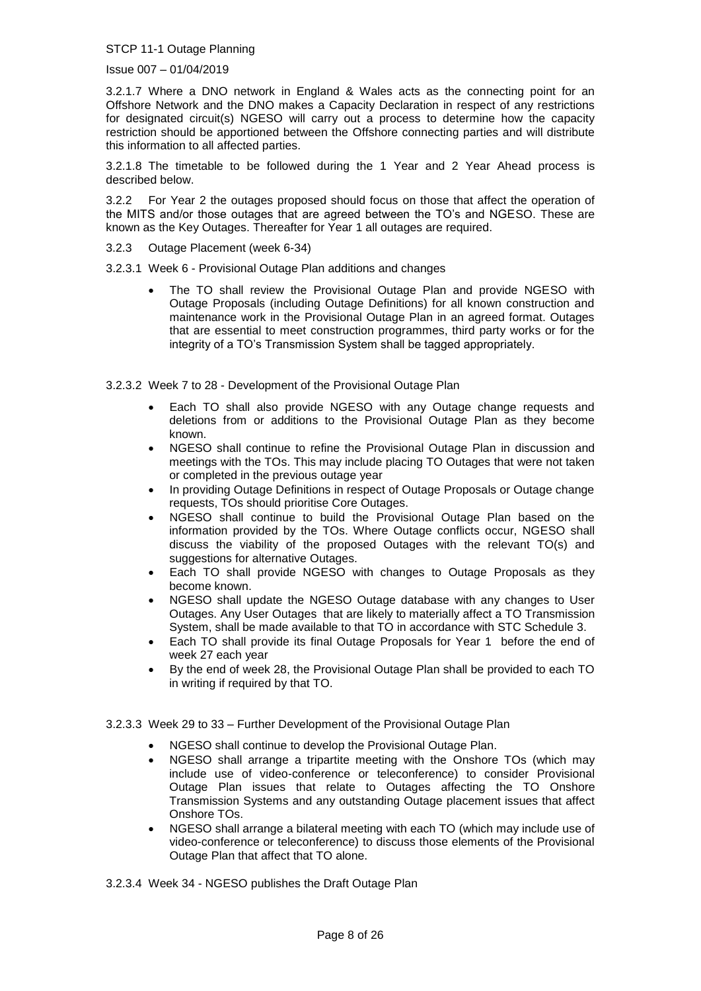Issue 007 – 01/04/2019

3.2.1.7 Where a DNO network in England & Wales acts as the connecting point for an Offshore Network and the DNO makes a Capacity Declaration in respect of any restrictions for designated circuit(s) NGESO will carry out a process to determine how the capacity restriction should be apportioned between the Offshore connecting parties and will distribute this information to all affected parties.

3.2.1.8 The timetable to be followed during the 1 Year and 2 Year Ahead process is described below.

3.2.2 For Year 2 the outages proposed should focus on those that affect the operation of the MITS and/or those outages that are agreed between the TO's and NGESO. These are known as the Key Outages. Thereafter for Year 1 all outages are required.

3.2.3 Outage Placement (week 6-34)

3.2.3.1 Week 6 - Provisional Outage Plan additions and changes

• The TO shall review the Provisional Outage Plan and provide NGESO with Outage Proposals (including Outage Definitions) for all known construction and maintenance work in the Provisional Outage Plan in an agreed format. Outages that are essential to meet construction programmes, third party works or for the integrity of a TO's Transmission System shall be tagged appropriately.

3.2.3.2 Week 7 to 28 - Development of the Provisional Outage Plan

- Each TO shall also provide NGESO with any Outage change requests and deletions from or additions to the Provisional Outage Plan as they become known.
- NGESO shall continue to refine the Provisional Outage Plan in discussion and meetings with the TOs. This may include placing TO Outages that were not taken or completed in the previous outage year
- In providing Outage Definitions in respect of Outage Proposals or Outage change requests, TOs should prioritise Core Outages.
- NGESO shall continue to build the Provisional Outage Plan based on the information provided by the TOs. Where Outage conflicts occur, NGESO shall discuss the viability of the proposed Outages with the relevant TO(s) and suggestions for alternative Outages.
- Each TO shall provide NGESO with changes to Outage Proposals as they become known.
- NGESO shall update the NGESO Outage database with any changes to User Outages. Any User Outages that are likely to materially affect a TO Transmission System, shall be made available to that TO in accordance with STC Schedule 3.
- Each TO shall provide its final Outage Proposals for Year 1 before the end of week 27 each year
- By the end of week 28, the Provisional Outage Plan shall be provided to each TO in writing if required by that TO.
- 3.2.3.3 Week 29 to 33 Further Development of the Provisional Outage Plan
	- NGESO shall continue to develop the Provisional Outage Plan.
	- NGESO shall arrange a tripartite meeting with the Onshore TOs (which may include use of video-conference or teleconference) to consider Provisional Outage Plan issues that relate to Outages affecting the TO Onshore Transmission Systems and any outstanding Outage placement issues that affect Onshore TOs.
	- NGESO shall arrange a bilateral meeting with each TO (which may include use of video-conference or teleconference) to discuss those elements of the Provisional Outage Plan that affect that TO alone.

3.2.3.4 Week 34 - NGESO publishes the Draft Outage Plan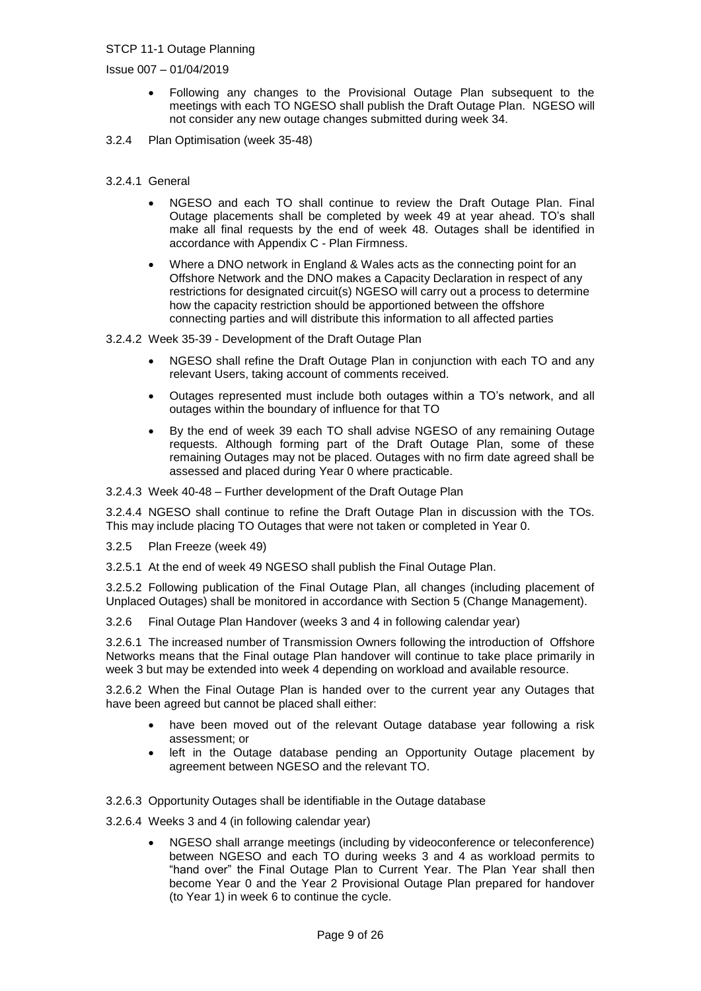Issue 007 – 01/04/2019

- Following any changes to the Provisional Outage Plan subsequent to the meetings with each TO NGESO shall publish the Draft Outage Plan. NGESO will not consider any new outage changes submitted during week 34.
- 3.2.4 Plan Optimisation (week 35-48)
- 3.2.4.1 General
	- NGESO and each TO shall continue to review the Draft Outage Plan. Final Outage placements shall be completed by week 49 at year ahead. TO's shall make all final requests by the end of week 48. Outages shall be identified in accordance with Appendix C - Plan Firmness.
	- Where a DNO network in England & Wales acts as the connecting point for an Offshore Network and the DNO makes a Capacity Declaration in respect of any restrictions for designated circuit(s) NGESO will carry out a process to determine how the capacity restriction should be apportioned between the offshore connecting parties and will distribute this information to all affected parties

3.2.4.2 Week 35-39 - Development of the Draft Outage Plan

- NGESO shall refine the Draft Outage Plan in conjunction with each TO and any relevant Users, taking account of comments received.
- Outages represented must include both outages within a TO's network, and all outages within the boundary of influence for that TO
- By the end of week 39 each TO shall advise NGESO of any remaining Outage requests. Although forming part of the Draft Outage Plan, some of these remaining Outages may not be placed. Outages with no firm date agreed shall be assessed and placed during Year 0 where practicable.

3.2.4.3 Week 40-48 – Further development of the Draft Outage Plan

3.2.4.4 NGESO shall continue to refine the Draft Outage Plan in discussion with the TOs. This may include placing TO Outages that were not taken or completed in Year 0.

3.2.5 Plan Freeze (week 49)

3.2.5.1 At the end of week 49 NGESO shall publish the Final Outage Plan.

3.2.5.2 Following publication of the Final Outage Plan, all changes (including placement of Unplaced Outages) shall be monitored in accordance with Section 5 (Change Management).

3.2.6 Final Outage Plan Handover (weeks 3 and 4 in following calendar year)

3.2.6.1 The increased number of Transmission Owners following the introduction of Offshore Networks means that the Final outage Plan handover will continue to take place primarily in week 3 but may be extended into week 4 depending on workload and available resource.

3.2.6.2 When the Final Outage Plan is handed over to the current year any Outages that have been agreed but cannot be placed shall either:

- have been moved out of the relevant Outage database year following a risk assessment; or
- left in the Outage database pending an Opportunity Outage placement by agreement between NGESO and the relevant TO.
- 3.2.6.3 Opportunity Outages shall be identifiable in the Outage database
- 3.2.6.4 Weeks 3 and 4 (in following calendar year)
	- NGESO shall arrange meetings (including by videoconference or teleconference) between NGESO and each TO during weeks 3 and 4 as workload permits to "hand over" the Final Outage Plan to Current Year. The Plan Year shall then become Year 0 and the Year 2 Provisional Outage Plan prepared for handover (to Year 1) in week 6 to continue the cycle.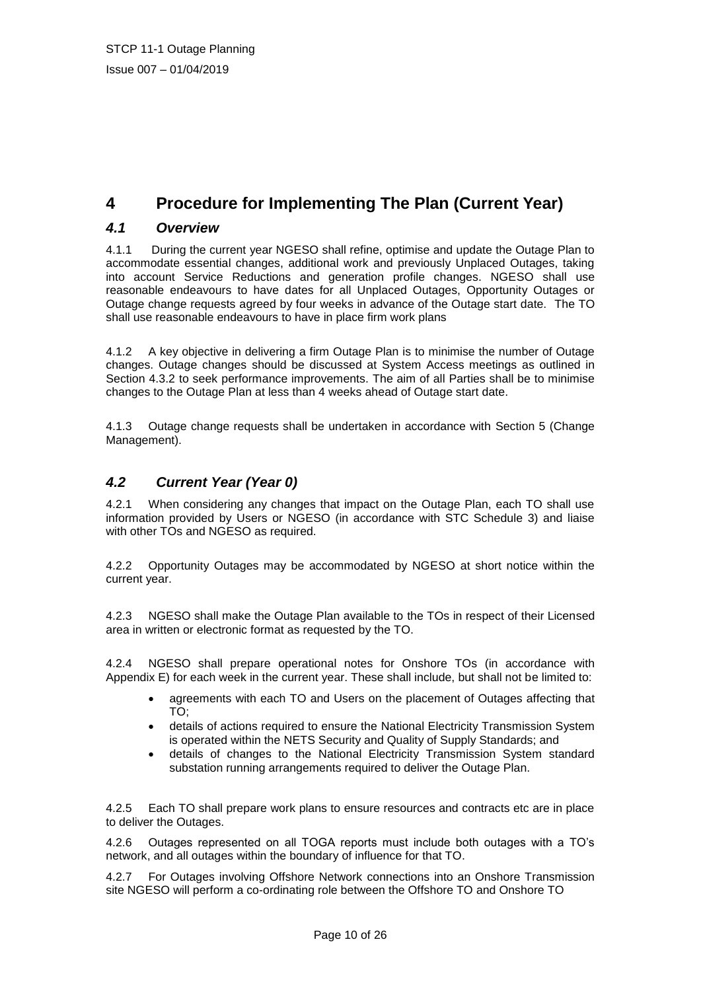# **4 Procedure for Implementing The Plan (Current Year)**

# *4.1 Overview*

4.1.1 During the current year NGESO shall refine, optimise and update the Outage Plan to accommodate essential changes, additional work and previously Unplaced Outages, taking into account Service Reductions and generation profile changes. NGESO shall use reasonable endeavours to have dates for all Unplaced Outages, Opportunity Outages or Outage change requests agreed by four weeks in advance of the Outage start date. The TO shall use reasonable endeavours to have in place firm work plans

4.1.2 A key objective in delivering a firm Outage Plan is to minimise the number of Outage changes. Outage changes should be discussed at System Access meetings as outlined in Section 4.3.2 to seek performance improvements. The aim of all Parties shall be to minimise changes to the Outage Plan at less than 4 weeks ahead of Outage start date.

4.1.3 Outage change requests shall be undertaken in accordance with Section 5 (Change Management).

# *4.2 Current Year (Year 0)*

4.2.1 When considering any changes that impact on the Outage Plan, each TO shall use information provided by Users or NGESO (in accordance with STC Schedule 3) and liaise with other TOs and NGESO as required.

4.2.2 Opportunity Outages may be accommodated by NGESO at short notice within the current year.

4.2.3 NGESO shall make the Outage Plan available to the TOs in respect of their Licensed area in written or electronic format as requested by the TO.

4.2.4 NGESO shall prepare operational notes for Onshore TOs (in accordance with Appendix E) for each week in the current year. These shall include, but shall not be limited to:

- agreements with each TO and Users on the placement of Outages affecting that TO;
- details of actions required to ensure the National Electricity Transmission System is operated within the NETS Security and Quality of Supply Standards; and
- details of changes to the National Electricity Transmission System standard substation running arrangements required to deliver the Outage Plan.

4.2.5 Each TO shall prepare work plans to ensure resources and contracts etc are in place to deliver the Outages.

4.2.6 Outages represented on all TOGA reports must include both outages with a TO's network, and all outages within the boundary of influence for that TO.

4.2.7 For Outages involving Offshore Network connections into an Onshore Transmission site NGESO will perform a co-ordinating role between the Offshore TO and Onshore TO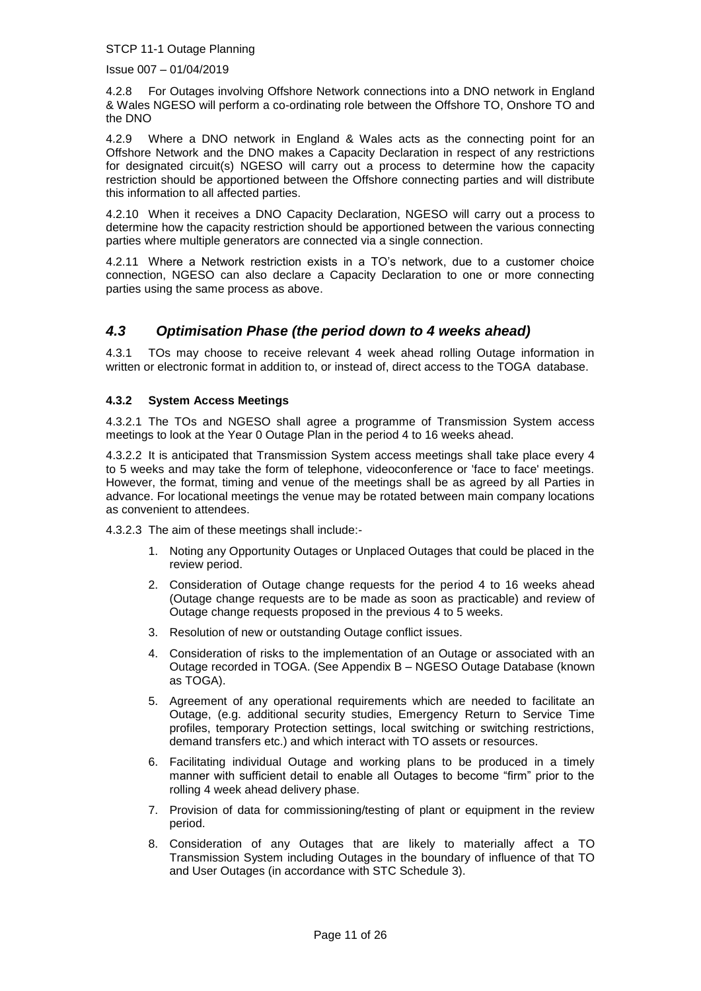Issue 007 – 01/04/2019

4.2.8 For Outages involving Offshore Network connections into a DNO network in England & Wales NGESO will perform a co-ordinating role between the Offshore TO, Onshore TO and the DNO

4.2.9 Where a DNO network in England & Wales acts as the connecting point for an Offshore Network and the DNO makes a Capacity Declaration in respect of any restrictions for designated circuit(s) NGESO will carry out a process to determine how the capacity restriction should be apportioned between the Offshore connecting parties and will distribute this information to all affected parties.

4.2.10 When it receives a DNO Capacity Declaration, NGESO will carry out a process to determine how the capacity restriction should be apportioned between the various connecting parties where multiple generators are connected via a single connection.

4.2.11 Where a Network restriction exists in a TO's network, due to a customer choice connection, NGESO can also declare a Capacity Declaration to one or more connecting parties using the same process as above.

# *4.3 Optimisation Phase (the period down to 4 weeks ahead)*

4.3.1 TOs may choose to receive relevant 4 week ahead rolling Outage information in written or electronic format in addition to, or instead of, direct access to the TOGA database.

#### **4.3.2 System Access Meetings**

4.3.2.1 The TOs and NGESO shall agree a programme of Transmission System access meetings to look at the Year 0 Outage Plan in the period 4 to 16 weeks ahead.

4.3.2.2 It is anticipated that Transmission System access meetings shall take place every 4 to 5 weeks and may take the form of telephone, videoconference or 'face to face' meetings. However, the format, timing and venue of the meetings shall be as agreed by all Parties in advance. For locational meetings the venue may be rotated between main company locations as convenient to attendees.

4.3.2.3 The aim of these meetings shall include:-

- 1. Noting any Opportunity Outages or Unplaced Outages that could be placed in the review period.
- 2. Consideration of Outage change requests for the period 4 to 16 weeks ahead (Outage change requests are to be made as soon as practicable) and review of Outage change requests proposed in the previous 4 to 5 weeks.
- 3. Resolution of new or outstanding Outage conflict issues.
- 4. Consideration of risks to the implementation of an Outage or associated with an Outage recorded in TOGA. (See Appendix B – NGESO Outage Database (known as TOGA).
- 5. Agreement of any operational requirements which are needed to facilitate an Outage, (e.g. additional security studies, Emergency Return to Service Time profiles, temporary Protection settings, local switching or switching restrictions, demand transfers etc.) and which interact with TO assets or resources.
- 6. Facilitating individual Outage and working plans to be produced in a timely manner with sufficient detail to enable all Outages to become "firm" prior to the rolling 4 week ahead delivery phase.
- 7. Provision of data for commissioning/testing of plant or equipment in the review period.
- 8. Consideration of any Outages that are likely to materially affect a TO Transmission System including Outages in the boundary of influence of that TO and User Outages (in accordance with STC Schedule 3).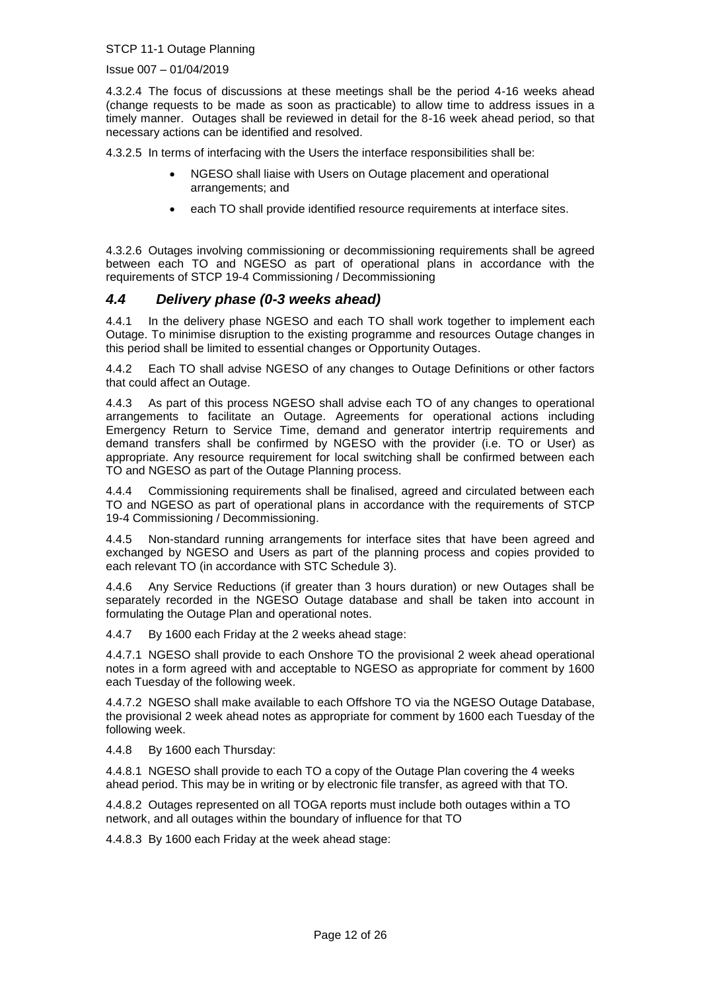Issue 007 – 01/04/2019

4.3.2.4 The focus of discussions at these meetings shall be the period 4-16 weeks ahead (change requests to be made as soon as practicable) to allow time to address issues in a timely manner. Outages shall be reviewed in detail for the 8-16 week ahead period, so that necessary actions can be identified and resolved.

4.3.2.5 In terms of interfacing with the Users the interface responsibilities shall be:

- NGESO shall liaise with Users on Outage placement and operational arrangements; and
- each TO shall provide identified resource requirements at interface sites.

4.3.2.6 Outages involving commissioning or decommissioning requirements shall be agreed between each TO and NGESO as part of operational plans in accordance with the requirements of STCP 19-4 Commissioning / Decommissioning

### *4.4 Delivery phase (0-3 weeks ahead)*

4.4.1 In the delivery phase NGESO and each TO shall work together to implement each Outage. To minimise disruption to the existing programme and resources Outage changes in this period shall be limited to essential changes or Opportunity Outages.

4.4.2 Each TO shall advise NGESO of any changes to Outage Definitions or other factors that could affect an Outage.

4.4.3 As part of this process NGESO shall advise each TO of any changes to operational arrangements to facilitate an Outage. Agreements for operational actions including Emergency Return to Service Time, demand and generator intertrip requirements and demand transfers shall be confirmed by NGESO with the provider (i.e. TO or User) as appropriate. Any resource requirement for local switching shall be confirmed between each TO and NGESO as part of the Outage Planning process.

4.4.4 Commissioning requirements shall be finalised, agreed and circulated between each TO and NGESO as part of operational plans in accordance with the requirements of STCP 19-4 Commissioning / Decommissioning.

4.4.5 Non-standard running arrangements for interface sites that have been agreed and exchanged by NGESO and Users as part of the planning process and copies provided to each relevant TO (in accordance with STC Schedule 3).

4.4.6 Any Service Reductions (if greater than 3 hours duration) or new Outages shall be separately recorded in the NGESO Outage database and shall be taken into account in formulating the Outage Plan and operational notes.

4.4.7 By 1600 each Friday at the 2 weeks ahead stage:

4.4.7.1 NGESO shall provide to each Onshore TO the provisional 2 week ahead operational notes in a form agreed with and acceptable to NGESO as appropriate for comment by 1600 each Tuesday of the following week.

4.4.7.2 NGESO shall make available to each Offshore TO via the NGESO Outage Database, the provisional 2 week ahead notes as appropriate for comment by 1600 each Tuesday of the following week.

4.4.8 By 1600 each Thursday:

4.4.8.1 NGESO shall provide to each TO a copy of the Outage Plan covering the 4 weeks ahead period. This may be in writing or by electronic file transfer, as agreed with that TO.

4.4.8.2 Outages represented on all TOGA reports must include both outages within a TO network, and all outages within the boundary of influence for that TO

4.4.8.3 By 1600 each Friday at the week ahead stage: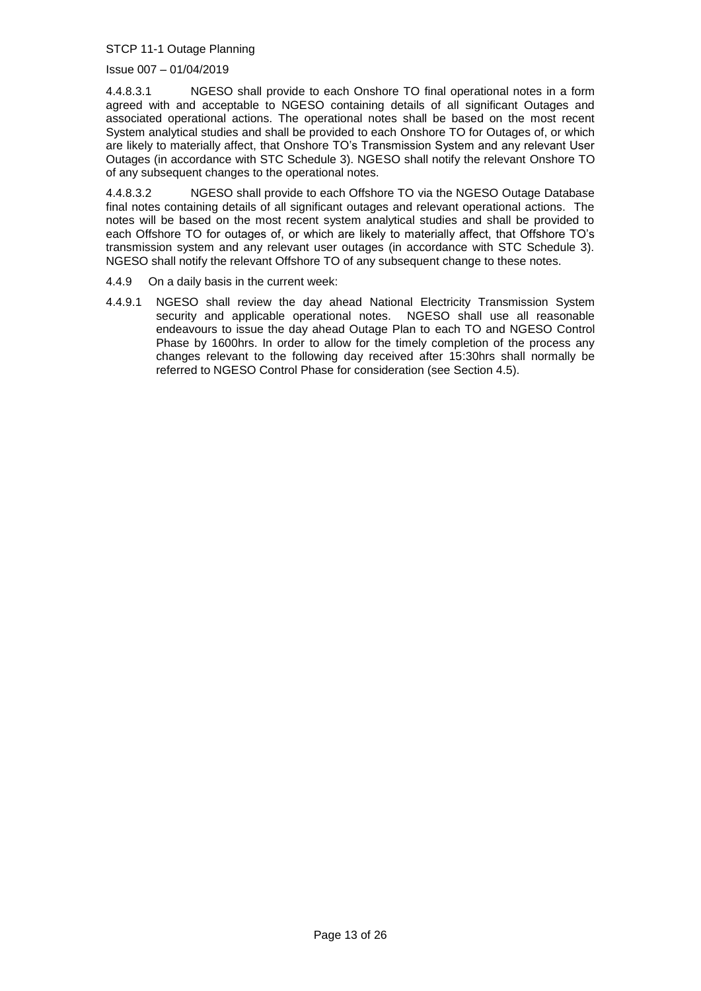#### Issue 007 – 01/04/2019

4.4.8.3.1 NGESO shall provide to each Onshore TO final operational notes in a form agreed with and acceptable to NGESO containing details of all significant Outages and associated operational actions. The operational notes shall be based on the most recent System analytical studies and shall be provided to each Onshore TO for Outages of, or which are likely to materially affect, that Onshore TO's Transmission System and any relevant User Outages (in accordance with STC Schedule 3). NGESO shall notify the relevant Onshore TO of any subsequent changes to the operational notes.

4.4.8.3.2 NGESO shall provide to each Offshore TO via the NGESO Outage Database final notes containing details of all significant outages and relevant operational actions. The notes will be based on the most recent system analytical studies and shall be provided to each Offshore TO for outages of, or which are likely to materially affect, that Offshore TO's transmission system and any relevant user outages (in accordance with STC Schedule 3). NGESO shall notify the relevant Offshore TO of any subsequent change to these notes.

- 4.4.9 On a daily basis in the current week:
- 4.4.9.1 NGESO shall review the day ahead National Electricity Transmission System security and applicable operational notes. NGESO shall use all reasonable endeavours to issue the day ahead Outage Plan to each TO and NGESO Control Phase by 1600hrs. In order to allow for the timely completion of the process any changes relevant to the following day received after 15:30hrs shall normally be referred to NGESO Control Phase for consideration (see Section 4.5).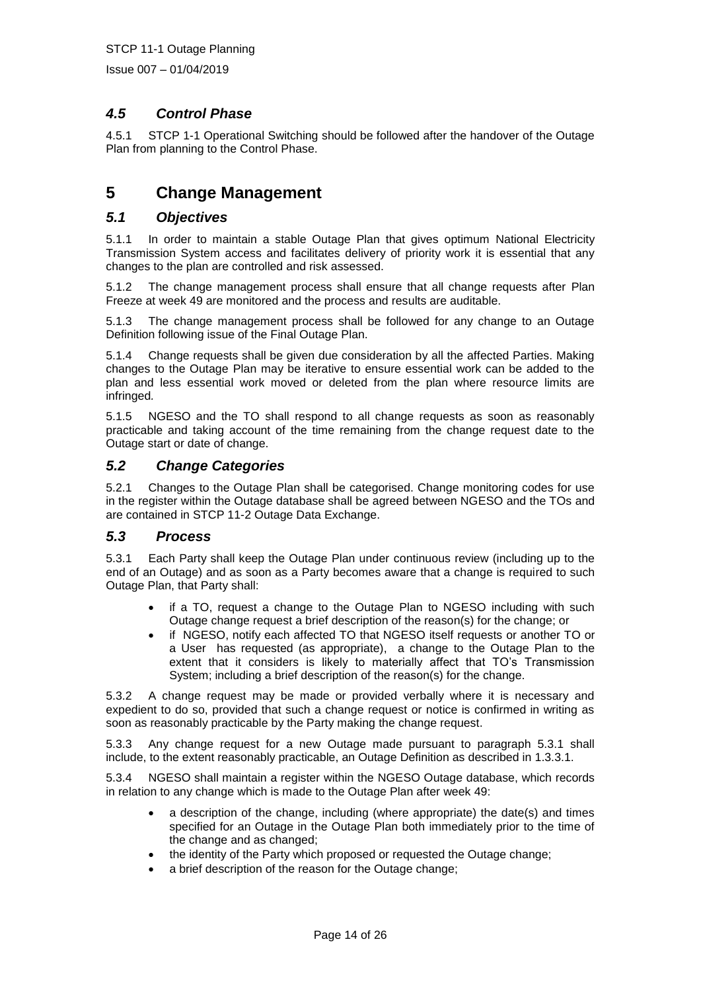Issue 007 – 01/04/2019

# *4.5 Control Phase*

4.5.1 STCP 1-1 Operational Switching should be followed after the handover of the Outage Plan from planning to the Control Phase.

# **5 Change Management**

### *5.1 Objectives*

5.1.1 In order to maintain a stable Outage Plan that gives optimum National Electricity Transmission System access and facilitates delivery of priority work it is essential that any changes to the plan are controlled and risk assessed.

5.1.2 The change management process shall ensure that all change requests after Plan Freeze at week 49 are monitored and the process and results are auditable.

5.1.3 The change management process shall be followed for any change to an Outage Definition following issue of the Final Outage Plan.

5.1.4 Change requests shall be given due consideration by all the affected Parties. Making changes to the Outage Plan may be iterative to ensure essential work can be added to the plan and less essential work moved or deleted from the plan where resource limits are infringed*.*

5.1.5 NGESO and the TO shall respond to all change requests as soon as reasonably practicable and taking account of the time remaining from the change request date to the Outage start or date of change.

#### *5.2 Change Categories*

5.2.1 Changes to the Outage Plan shall be categorised. Change monitoring codes for use in the register within the Outage database shall be agreed between NGESO and the TOs and are contained in STCP 11-2 Outage Data Exchange.

#### *5.3 Process*

5.3.1 Each Party shall keep the Outage Plan under continuous review (including up to the end of an Outage) and as soon as a Party becomes aware that a change is required to such Outage Plan, that Party shall:

- if a TO, request a change to the Outage Plan to NGESO including with such Outage change request a brief description of the reason(s) for the change; or
- if NGESO, notify each affected TO that NGESO itself requests or another TO or a User has requested (as appropriate), a change to the Outage Plan to the extent that it considers is likely to materially affect that TO's Transmission System; including a brief description of the reason(s) for the change.

5.3.2 A change request may be made or provided verbally where it is necessary and expedient to do so, provided that such a change request or notice is confirmed in writing as soon as reasonably practicable by the Party making the change request.

5.3.3 Any change request for a new Outage made pursuant to paragraph 5.3.1 shall include, to the extent reasonably practicable, an Outage Definition as described in 1.3.3.1.

5.3.4 NGESO shall maintain a register within the NGESO Outage database, which records in relation to any change which is made to the Outage Plan after week 49:

- a description of the change, including (where appropriate) the date(s) and times specified for an Outage in the Outage Plan both immediately prior to the time of the change and as changed;
- the identity of the Party which proposed or requested the Outage change;
- a brief description of the reason for the Outage change;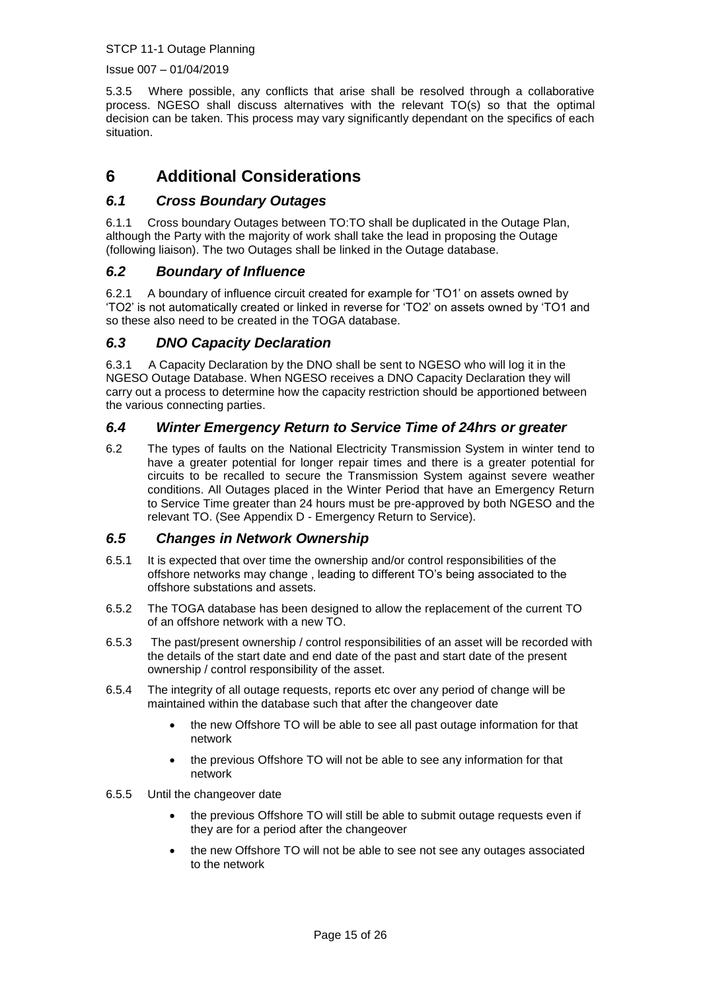Issue 007 – 01/04/2019

5.3.5 Where possible, any conflicts that arise shall be resolved through a collaborative process. NGESO shall discuss alternatives with the relevant TO(s) so that the optimal decision can be taken. This process may vary significantly dependant on the specifics of each situation.

# **6 Additional Considerations**

### *6.1 Cross Boundary Outages*

6.1.1 Cross boundary Outages between TO:TO shall be duplicated in the Outage Plan, although the Party with the majority of work shall take the lead in proposing the Outage (following liaison). The two Outages shall be linked in the Outage database.

### *6.2 Boundary of Influence*

6.2.1 A boundary of influence circuit created for example for 'TO1' on assets owned by 'TO2' is not automatically created or linked in reverse for 'TO2' on assets owned by 'TO1 and so these also need to be created in the TOGA database.

### *6.3 DNO Capacity Declaration*

6.3.1 A Capacity Declaration by the DNO shall be sent to NGESO who will log it in the NGESO Outage Database. When NGESO receives a DNO Capacity Declaration they will carry out a process to determine how the capacity restriction should be apportioned between the various connecting parties.

### *6.4 Winter Emergency Return to Service Time of 24hrs or greater*

6.2 The types of faults on the National Electricity Transmission System in winter tend to have a greater potential for longer repair times and there is a greater potential for circuits to be recalled to secure the Transmission System against severe weather conditions. All Outages placed in the Winter Period that have an Emergency Return to Service Time greater than 24 hours must be pre-approved by both NGESO and the relevant TO. (See Appendix D - Emergency Return to Service).

#### *6.5 Changes in Network Ownership*

- 6.5.1 It is expected that over time the ownership and/or control responsibilities of the offshore networks may change , leading to different TO's being associated to the offshore substations and assets.
- 6.5.2 The TOGA database has been designed to allow the replacement of the current TO of an offshore network with a new TO.
- 6.5.3 The past/present ownership / control responsibilities of an asset will be recorded with the details of the start date and end date of the past and start date of the present ownership / control responsibility of the asset.
- 6.5.4 The integrity of all outage requests, reports etc over any period of change will be maintained within the database such that after the changeover date
	- the new Offshore TO will be able to see all past outage information for that network
	- the previous Offshore TO will not be able to see any information for that network
- 6.5.5 Until the changeover date
	- the previous Offshore TO will still be able to submit outage requests even if they are for a period after the changeover
	- the new Offshore TO will not be able to see not see any outages associated to the network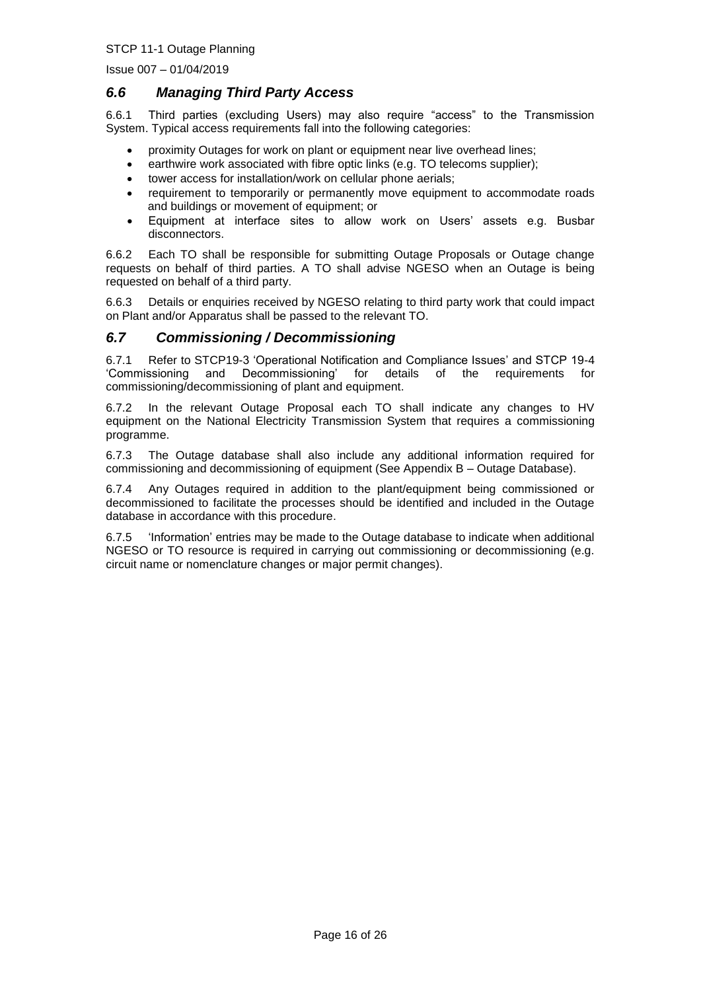Issue 007 – 01/04/2019

### *6.6 Managing Third Party Access*

6.6.1 Third parties (excluding Users) may also require "access" to the Transmission System. Typical access requirements fall into the following categories:

- proximity Outages for work on plant or equipment near live overhead lines;
- earthwire work associated with fibre optic links (e.g. TO telecoms supplier);
- tower access for installation/work on cellular phone aerials;
- requirement to temporarily or permanently move equipment to accommodate roads and buildings or movement of equipment; or
- Equipment at interface sites to allow work on Users' assets e.g. Busbar disconnectors.

6.6.2 Each TO shall be responsible for submitting Outage Proposals or Outage change requests on behalf of third parties. A TO shall advise NGESO when an Outage is being requested on behalf of a third party.

6.6.3 Details or enquiries received by NGESO relating to third party work that could impact on Plant and/or Apparatus shall be passed to the relevant TO.

### *6.7 Commissioning / Decommissioning*

6.7.1 Refer to STCP19-3 'Operational Notification and Compliance Issues' and STCP 19-4 'Commissioning and Decommissioning' for details of the requirements for commissioning/decommissioning of plant and equipment.

6.7.2 In the relevant Outage Proposal each TO shall indicate any changes to HV equipment on the National Electricity Transmission System that requires a commissioning programme.

6.7.3 The Outage database shall also include any additional information required for commissioning and decommissioning of equipment (See Appendix B – Outage Database).

6.7.4 Any Outages required in addition to the plant/equipment being commissioned or decommissioned to facilitate the processes should be identified and included in the Outage database in accordance with this procedure.

6.7.5 'Information' entries may be made to the Outage database to indicate when additional NGESO or TO resource is required in carrying out commissioning or decommissioning (e.g. circuit name or nomenclature changes or major permit changes).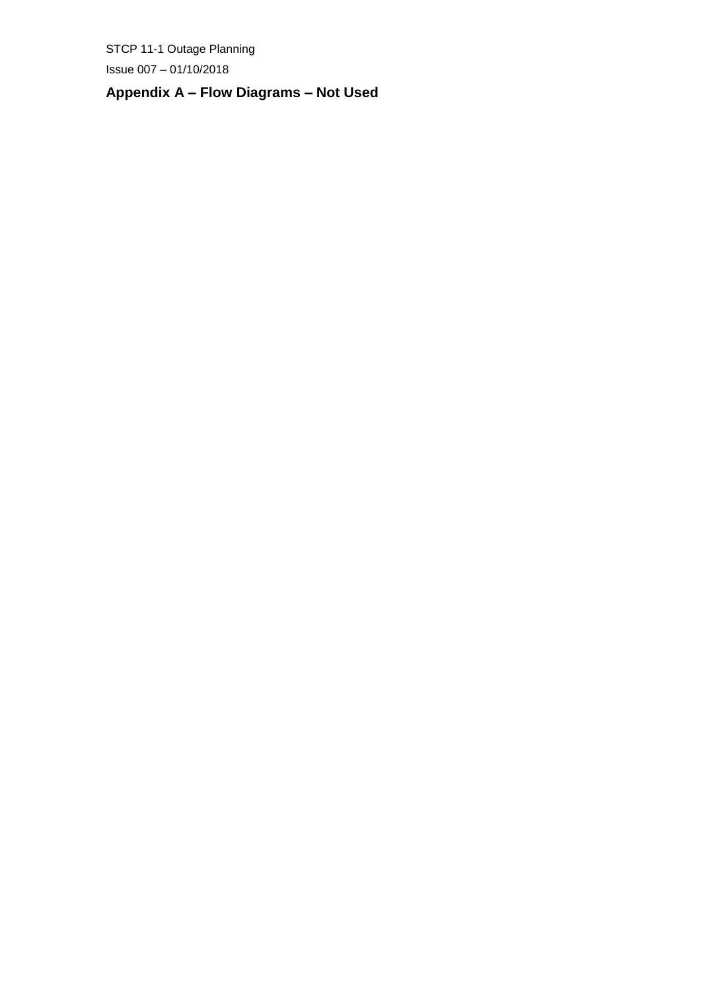$Is sue 007 - 01/10/2018$ 

# **Appendix A – Flow Diagrams – Not Used**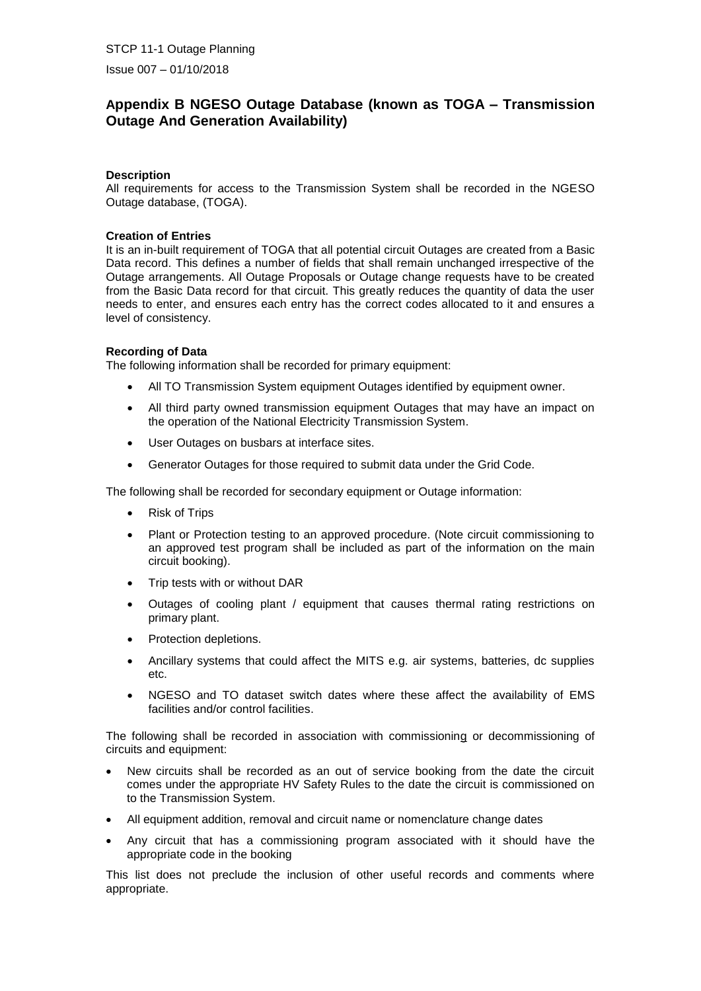$Is sue 007 - 01/10/2018$ 

# **Appendix B NGESO Outage Database (known as TOGA – Transmission Outage And Generation Availability)**

#### **Description**

All requirements for access to the Transmission System shall be recorded in the NGESO Outage database, (TOGA).

#### **Creation of Entries**

It is an in-built requirement of TOGA that all potential circuit Outages are created from a Basic Data record. This defines a number of fields that shall remain unchanged irrespective of the Outage arrangements. All Outage Proposals or Outage change requests have to be created from the Basic Data record for that circuit. This greatly reduces the quantity of data the user needs to enter, and ensures each entry has the correct codes allocated to it and ensures a level of consistency.

#### **Recording of Data**

The following information shall be recorded for primary equipment:

- All TO Transmission System equipment Outages identified by equipment owner.
- All third party owned transmission equipment Outages that may have an impact on the operation of the National Electricity Transmission System.
- User Outages on busbars at interface sites.
- Generator Outages for those required to submit data under the Grid Code.

The following shall be recorded for secondary equipment or Outage information:

- Risk of Trips
- Plant or Protection testing to an approved procedure. (Note circuit commissioning to an approved test program shall be included as part of the information on the main circuit booking).
- Trip tests with or without DAR
- Outages of cooling plant / equipment that causes thermal rating restrictions on primary plant.
- Protection depletions.
- Ancillary systems that could affect the MITS e.g. air systems, batteries, dc supplies etc.
- NGESO and TO dataset switch dates where these affect the availability of EMS facilities and/or control facilities.

The following shall be recorded in association with commissioning or decommissioning of circuits and equipment:

- New circuits shall be recorded as an out of service booking from the date the circuit comes under the appropriate HV Safety Rules to the date the circuit is commissioned on to the Transmission System.
- All equipment addition, removal and circuit name or nomenclature change dates
- Any circuit that has a commissioning program associated with it should have the appropriate code in the booking

This list does not preclude the inclusion of other useful records and comments where appropriate.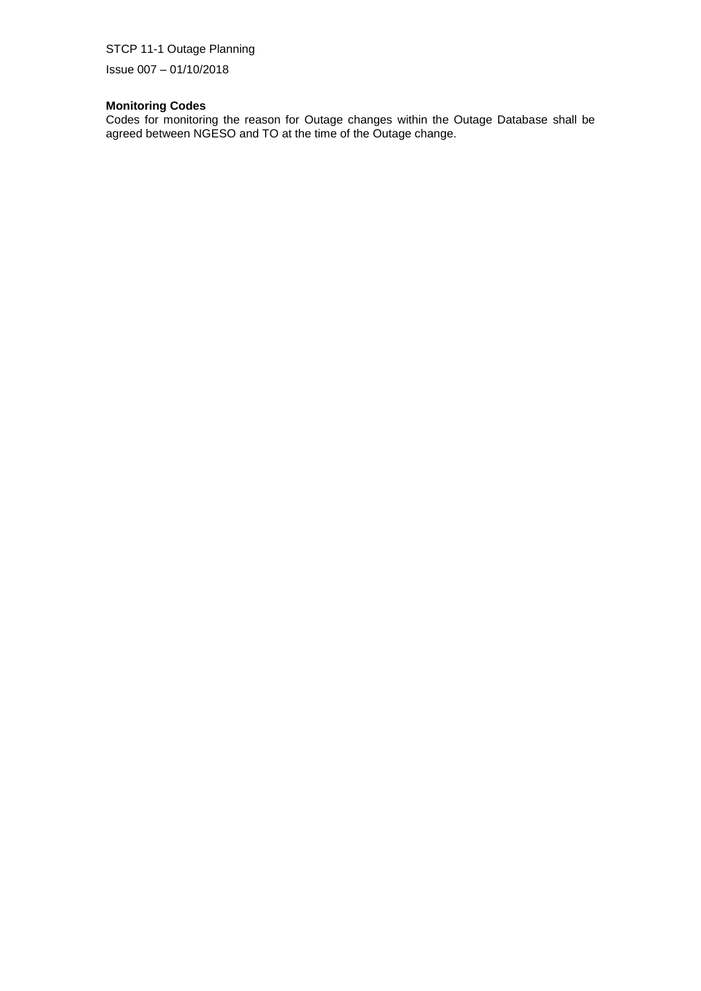Issue 007 – 01/10/2018 5

#### **Monitoring Codes**

Codes for monitoring the reason for Outage changes within the Outage Database shall be agreed between NGESO and TO at the time of the Outage change.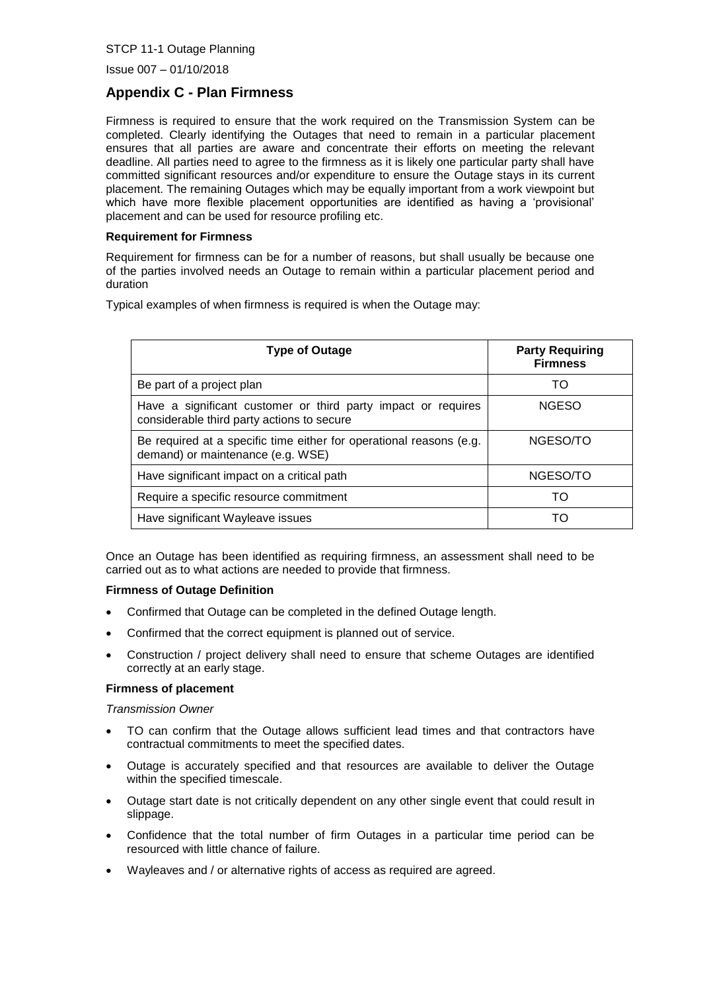$Is sue 007 - 01/10/2018$ 

# **Appendix C - Plan Firmness**

Firmness is required to ensure that the work required on the Transmission System can be completed. Clearly identifying the Outages that need to remain in a particular placement ensures that all parties are aware and concentrate their efforts on meeting the relevant deadline. All parties need to agree to the firmness as it is likely one particular party shall have committed significant resources and/or expenditure to ensure the Outage stays in its current placement. The remaining Outages which may be equally important from a work viewpoint but which have more flexible placement opportunities are identified as having a 'provisional' placement and can be used for resource profiling etc.

#### **Requirement for Firmness**

Requirement for firmness can be for a number of reasons, but shall usually be because one of the parties involved needs an Outage to remain within a particular placement period and duration

Typical examples of when firmness is required is when the Outage may:

| <b>Type of Outage</b>                                                                                       | <b>Party Requiring</b><br><b>Firmness</b> |
|-------------------------------------------------------------------------------------------------------------|-------------------------------------------|
| Be part of a project plan                                                                                   | TO                                        |
| Have a significant customer or third party impact or requires<br>considerable third party actions to secure | <b>NGESO</b>                              |
| Be required at a specific time either for operational reasons (e.g.<br>demand) or maintenance (e.g. WSE)    | NGESO/TO                                  |
| Have significant impact on a critical path                                                                  | NGESO/TO                                  |
| Require a specific resource commitment                                                                      | TO                                        |
| Have significant Wayleave issues                                                                            | TΩ                                        |

Once an Outage has been identified as requiring firmness, an assessment shall need to be carried out as to what actions are needed to provide that firmness.

#### **Firmness of Outage Definition**

- Confirmed that Outage can be completed in the defined Outage length.
- Confirmed that the correct equipment is planned out of service.
- Construction / project delivery shall need to ensure that scheme Outages are identified correctly at an early stage.

#### **Firmness of placement**

*Transmission Owner*

- TO can confirm that the Outage allows sufficient lead times and that contractors have contractual commitments to meet the specified dates.
- Outage is accurately specified and that resources are available to deliver the Outage within the specified timescale.
- Outage start date is not critically dependent on any other single event that could result in slippage.
- Confidence that the total number of firm Outages in a particular time period can be resourced with little chance of failure.
- Wayleaves and / or alternative rights of access as required are agreed.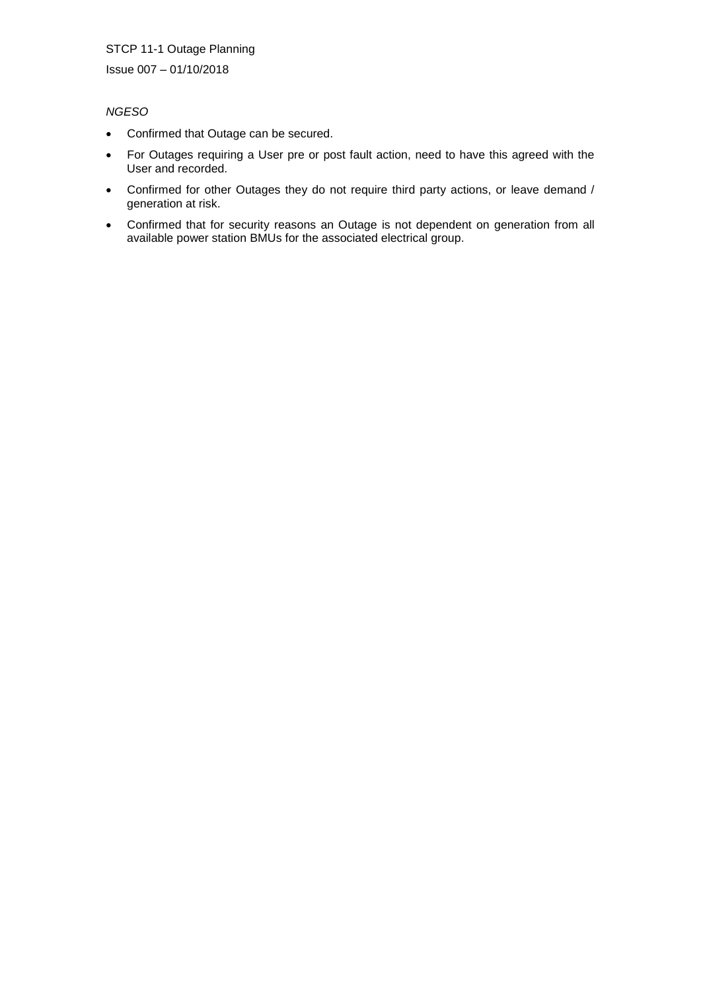Issue 007 - 01/10/2018

#### *NGESO*

- Confirmed that Outage can be secured.
- For Outages requiring a User pre or post fault action, need to have this agreed with the User and recorded.
- Confirmed for other Outages they do not require third party actions, or leave demand / generation at risk.
- Confirmed that for security reasons an Outage is not dependent on generation from all available power station BMUs for the associated electrical group.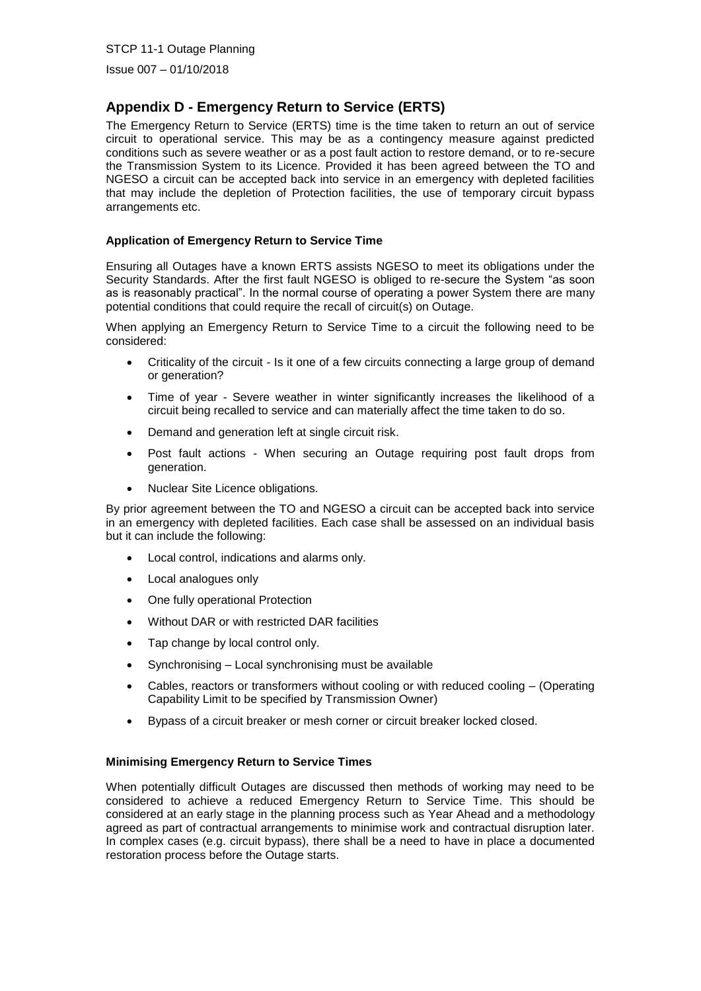$Is sue 007 - 01/10/2018$ 

# **Appendix D - Emergency Return to Service (ERTS)**

The Emergency Return to Service (ERTS) time is the time taken to return an out of service circuit to operational service. This may be as a contingency measure against predicted conditions such as severe weather or as a post fault action to restore demand, or to re-secure the Transmission System to its Licence. Provided it has been agreed between the TO and NGESO a circuit can be accepted back into service in an emergency with depleted facilities that may include the depletion of Protection facilities, the use of temporary circuit bypass arrangements etc.

#### **Application of Emergency Return to Service Time**

Ensuring all Outages have a known ERTS assists NGESO to meet its obligations under the Security Standards. After the first fault NGESO is obliged to re-secure the System "as soon as is reasonably practical". In the normal course of operating a power System there are many potential conditions that could require the recall of circuit(s) on Outage.

When applying an Emergency Return to Service Time to a circuit the following need to be considered:

- Criticality of the circuit Is it one of a few circuits connecting a large group of demand or generation?
- Time of year Severe weather in winter significantly increases the likelihood of a circuit being recalled to service and can materially affect the time taken to do so.
- Demand and generation left at single circuit risk.
- Post fault actions When securing an Outage requiring post fault drops from generation.
- Nuclear Site Licence obligations.

By prior agreement between the TO and NGESO a circuit can be accepted back into service in an emergency with depleted facilities. Each case shall be assessed on an individual basis but it can include the following:

- Local control, indications and alarms only.
- Local analogues only
- One fully operational Protection
- Without DAR or with restricted DAR facilities
- Tap change by local control only.
- Synchronising Local synchronising must be available
- Cables, reactors or transformers without cooling or with reduced cooling (Operating Capability Limit to be specified by Transmission Owner)
- Bypass of a circuit breaker or mesh corner or circuit breaker locked closed.

#### **Minimising Emergency Return to Service Times**

When potentially difficult Outages are discussed then methods of working may need to be considered to achieve a reduced Emergency Return to Service Time. This should be considered at an early stage in the planning process such as Year Ahead and a methodology agreed as part of contractual arrangements to minimise work and contractual disruption later. In complex cases (e.g. circuit bypass), there shall be a need to have in place a documented restoration process before the Outage starts.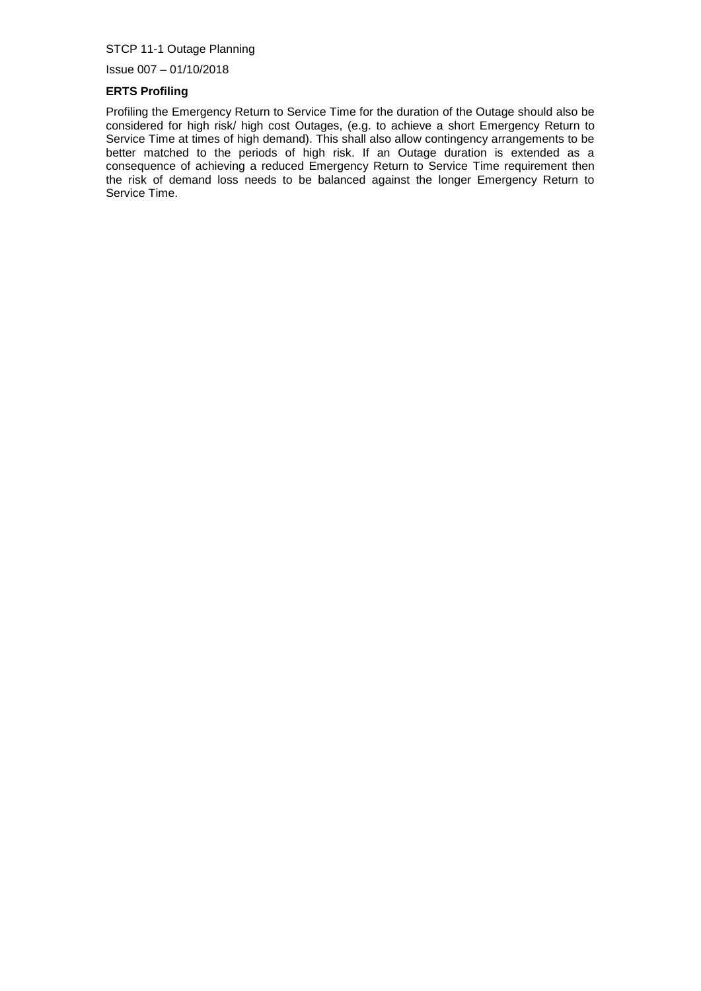Issue 007 – 01/10/2018 5

#### **ERTS Profiling**

Profiling the Emergency Return to Service Time for the duration of the Outage should also be considered for high risk/ high cost Outages, (e.g. to achieve a short Emergency Return to Service Time at times of high demand). This shall also allow contingency arrangements to be better matched to the periods of high risk. If an Outage duration is extended as a consequence of achieving a reduced Emergency Return to Service Time requirement then the risk of demand loss needs to be balanced against the longer Emergency Return to Service Time.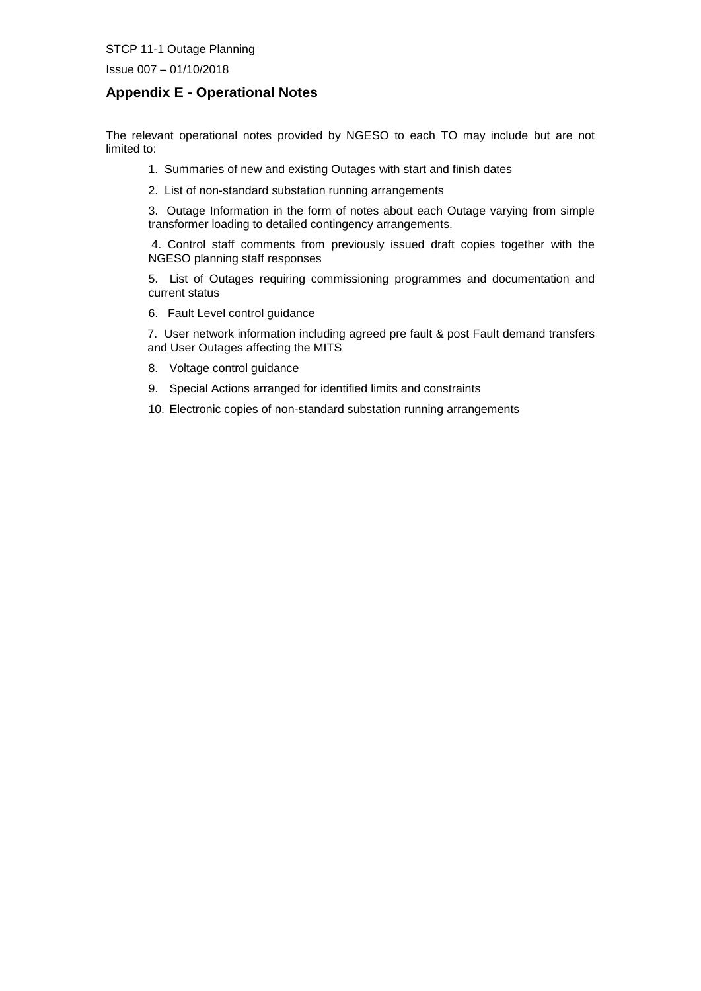Issue 007 - 01/10/2018

# **Appendix E - Operational Notes**

The relevant operational notes provided by NGESO to each TO may include but are not limited to:

- 1. Summaries of new and existing Outages with start and finish dates
- 2. List of non-standard substation running arrangements

3. Outage Information in the form of notes about each Outage varying from simple transformer loading to detailed contingency arrangements.

4. Control staff comments from previously issued draft copies together with the NGESO planning staff responses

5. List of Outages requiring commissioning programmes and documentation and current status

6. Fault Level control guidance

7. User network information including agreed pre fault & post Fault demand transfers and User Outages affecting the MITS

- 8. Voltage control guidance
- 9. Special Actions arranged for identified limits and constraints

10. Electronic copies of non-standard substation running arrangements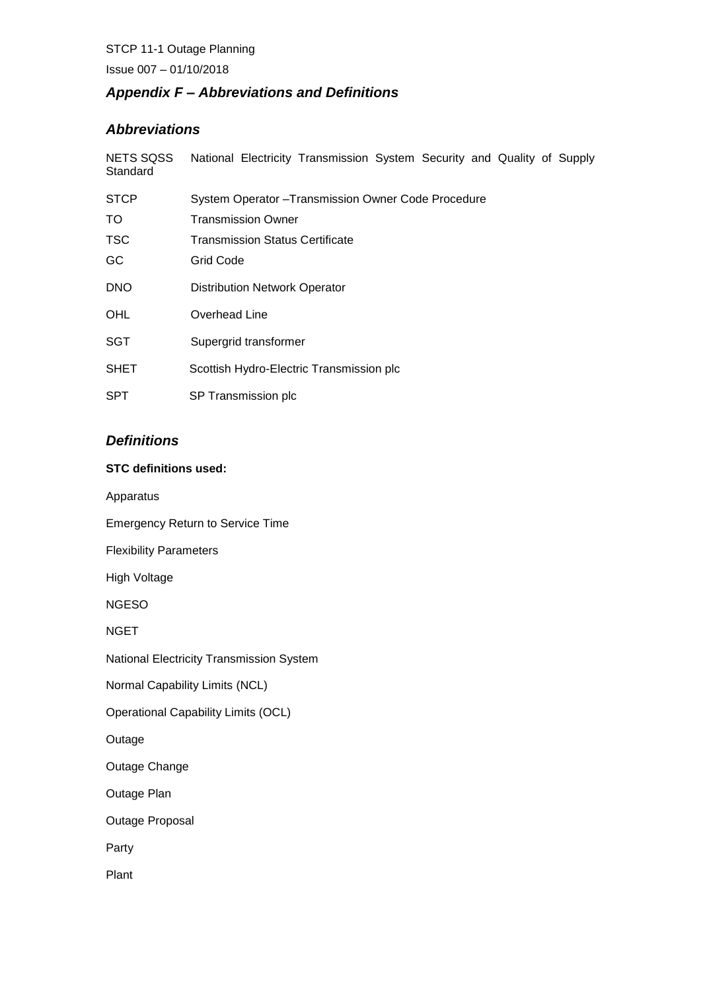Issue 007 – 01/10/2018 5

# *Appendix F – Abbreviations and Definitions*

# *Abbreviations*

| <b>NETS SQSS</b><br>Standard | National Electricity Transmission System Security and Quality of Supply |
|------------------------------|-------------------------------------------------------------------------|
| <b>STCP</b>                  | System Operator - Transmission Owner Code Procedure                     |
| TO.                          | Transmission Owner                                                      |
| <b>TSC</b>                   | Transmission Status Certificate                                         |
| GC                           | Grid Code                                                               |
| <b>DNO</b>                   | <b>Distribution Network Operator</b>                                    |
| <b>OHL</b>                   | Overhead Line                                                           |
| <b>SGT</b>                   | Supergrid transformer                                                   |
| <b>SHET</b>                  | Scottish Hydro-Electric Transmission plc                                |
| <b>SPT</b>                   | SP Transmission plc                                                     |

# *Definitions*

#### **STC definitions used:**

Apparatus

Emergency Return to Service Time

Flexibility Parameters

High Voltage

NGESO

NGET

National Electricity Transmission System

Normal Capability Limits (NCL)

Operational Capability Limits (OCL)

Outage

Outage Change

Outage Plan

Outage Proposal

Party

Plant